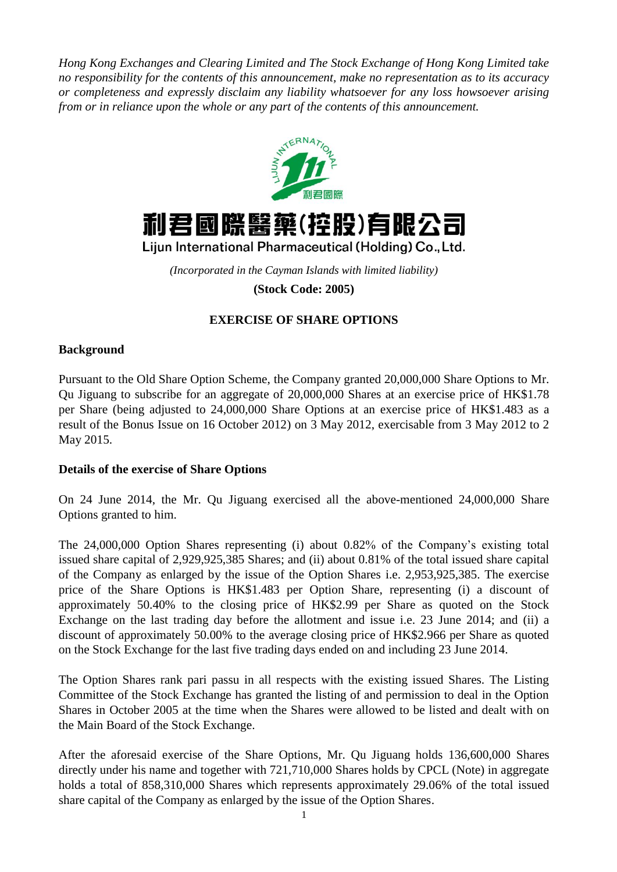*Hong Kong Exchanges and Clearing Limited and The Stock Exchange of Hong Kong Limited take no responsibility for the contents of this announcement, make no representation as to its accuracy or completeness and expressly disclaim any liability whatsoever for any loss howsoever arising from or in reliance upon the whole or any part of the contents of this announcement.*





Lijun International Pharmaceutical (Holding) Co., Ltd.

*(Incorporated in the Cayman Islands with limited liability)*

**(Stock Code: 2005)**

# **EXERCISE OF SHARE OPTIONS**

# **Background**

Pursuant to the Old Share Option Scheme, the Company granted 20,000,000 Share Options to Mr. Qu Jiguang to subscribe for an aggregate of 20,000,000 Shares at an exercise price of HK\$1.78 per Share (being adjusted to 24,000,000 Share Options at an exercise price of HK\$1.483 as a result of the Bonus Issue on 16 October 2012) on 3 May 2012, exercisable from 3 May 2012 to 2 May 2015.

#### **Details of the exercise of Share Options**

On 24 June 2014, the Mr. Qu Jiguang exercised all the above-mentioned 24,000,000 Share Options granted to him.

The 24,000,000 Option Shares representing (i) about 0.82% of the Company's existing total issued share capital of 2,929,925,385 Shares; and (ii) about 0.81% of the total issued share capital of the Company as enlarged by the issue of the Option Shares i.e. 2,953,925,385. The exercise price of the Share Options is HK\$1.483 per Option Share, representing (i) a discount of approximately 50.40% to the closing price of HK\$2.99 per Share as quoted on the Stock Exchange on the last trading day before the allotment and issue i.e. 23 June 2014; and (ii) a discount of approximately 50.00% to the average closing price of HK\$2.966 per Share as quoted on the Stock Exchange for the last five trading days ended on and including 23 June 2014.

The Option Shares rank pari passu in all respects with the existing issued Shares. The Listing Committee of the Stock Exchange has granted the listing of and permission to deal in the Option Shares in October 2005 at the time when the Shares were allowed to be listed and dealt with on the Main Board of the Stock Exchange.

After the aforesaid exercise of the Share Options, Mr. Qu Jiguang holds 136,600,000 Shares directly under his name and together with 721,710,000 Shares holds by CPCL (Note) in aggregate holds a total of 858,310,000 Shares which represents approximately 29.06% of the total issued share capital of the Company as enlarged by the issue of the Option Shares.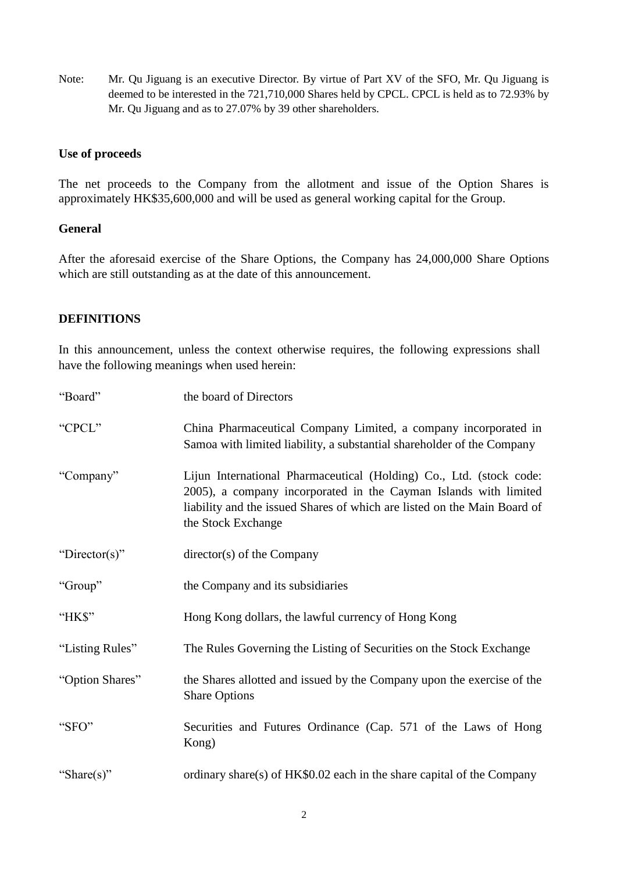Note: Mr. Qu Jiguang is an executive Director. By virtue of Part XV of the SFO, Mr. Qu Jiguang is deemed to be interested in the 721,710,000 Shares held by CPCL. CPCL is held as to 72.93% by Mr. Qu Jiguang and as to 27.07% by 39 other shareholders.

### **Use of proceeds**

The net proceeds to the Company from the allotment and issue of the Option Shares is approximately HK\$35,600,000 and will be used as general working capital for the Group.

#### **General**

After the aforesaid exercise of the Share Options, the Company has 24,000,000 Share Options which are still outstanding as at the date of this announcement.

## **DEFINITIONS**

In this announcement, unless the context otherwise requires, the following expressions shall have the following meanings when used herein:

| "Board"         | the board of Directors                                                                                                                                                                                                                    |
|-----------------|-------------------------------------------------------------------------------------------------------------------------------------------------------------------------------------------------------------------------------------------|
| "CPCL"          | China Pharmaceutical Company Limited, a company incorporated in<br>Samoa with limited liability, a substantial shareholder of the Company                                                                                                 |
| "Company"       | Lijun International Pharmaceutical (Holding) Co., Ltd. (stock code:<br>2005), a company incorporated in the Cayman Islands with limited<br>liability and the issued Shares of which are listed on the Main Board of<br>the Stock Exchange |
| "Director(s)"   | $directory(s)$ of the Company                                                                                                                                                                                                             |
| "Group"         | the Company and its subsidiaries                                                                                                                                                                                                          |
| "HK\$"          | Hong Kong dollars, the lawful currency of Hong Kong                                                                                                                                                                                       |
| "Listing Rules" | The Rules Governing the Listing of Securities on the Stock Exchange                                                                                                                                                                       |
| "Option Shares" | the Shares allotted and issued by the Company upon the exercise of the<br><b>Share Options</b>                                                                                                                                            |
| "SFO"           | Securities and Futures Ordinance (Cap. 571 of the Laws of Hong<br>Kong)                                                                                                                                                                   |
| "Share(s)"      | ordinary share(s) of $HK\$0.02$ each in the share capital of the Company                                                                                                                                                                  |